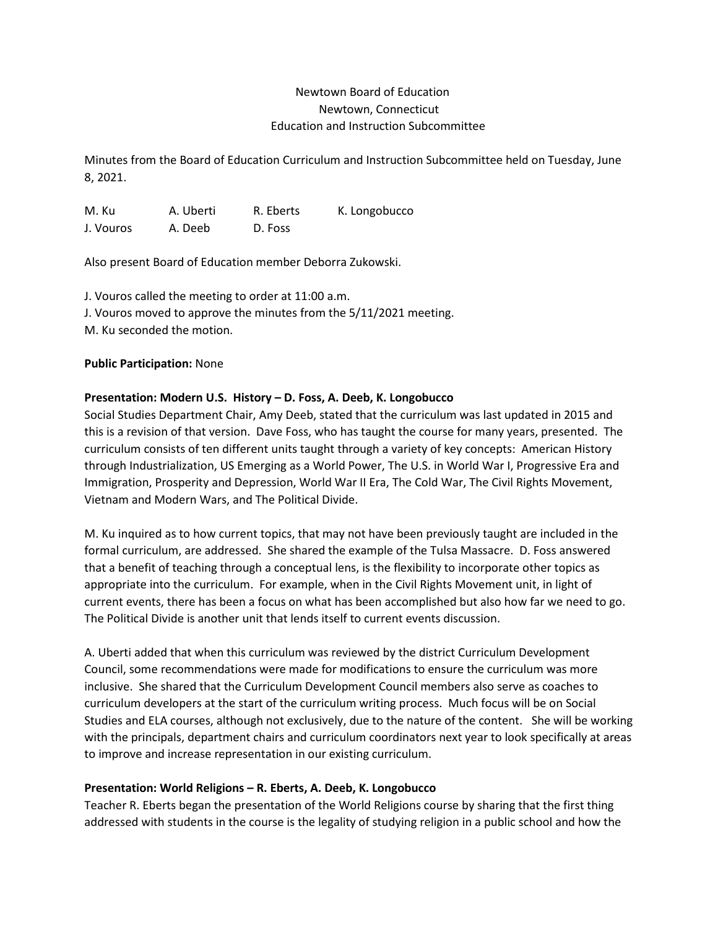# Newtown Board of Education Newtown, Connecticut Education and Instruction Subcommittee

Minutes from the Board of Education Curriculum and Instruction Subcommittee held on Tuesday, June 8, 2021.

M. Ku A. Uberti R. Eberts K. Longobucco J. Vouros A. Deeb D. Foss

Also present Board of Education member Deborra Zukowski.

J. Vouros called the meeting to order at 11:00 a.m. J. Vouros moved to approve the minutes from the 5/11/2021 meeting. M. Ku seconded the motion.

### **Public Participation:** None

## **Presentation: Modern U.S. History – D. Foss, A. Deeb, K. Longobucco**

Social Studies Department Chair, Amy Deeb, stated that the curriculum was last updated in 2015 and this is a revision of that version. Dave Foss, who has taught the course for many years, presented. The curriculum consists of ten different units taught through a variety of key concepts: American History through Industrialization, US Emerging as a World Power, The U.S. in World War I, Progressive Era and Immigration, Prosperity and Depression, World War II Era, The Cold War, The Civil Rights Movement, Vietnam and Modern Wars, and The Political Divide.

M. Ku inquired as to how current topics, that may not have been previously taught are included in the formal curriculum, are addressed. She shared the example of the Tulsa Massacre. D. Foss answered that a benefit of teaching through a conceptual lens, is the flexibility to incorporate other topics as appropriate into the curriculum. For example, when in the Civil Rights Movement unit, in light of current events, there has been a focus on what has been accomplished but also how far we need to go. The Political Divide is another unit that lends itself to current events discussion.

A. Uberti added that when this curriculum was reviewed by the district Curriculum Development Council, some recommendations were made for modifications to ensure the curriculum was more inclusive. She shared that the Curriculum Development Council members also serve as coaches to curriculum developers at the start of the curriculum writing process. Much focus will be on Social Studies and ELA courses, although not exclusively, due to the nature of the content. She will be working with the principals, department chairs and curriculum coordinators next year to look specifically at areas to improve and increase representation in our existing curriculum.

### **Presentation: World Religions – R. Eberts, A. Deeb, K. Longobucco**

Teacher R. Eberts began the presentation of the World Religions course by sharing that the first thing addressed with students in the course is the legality of studying religion in a public school and how the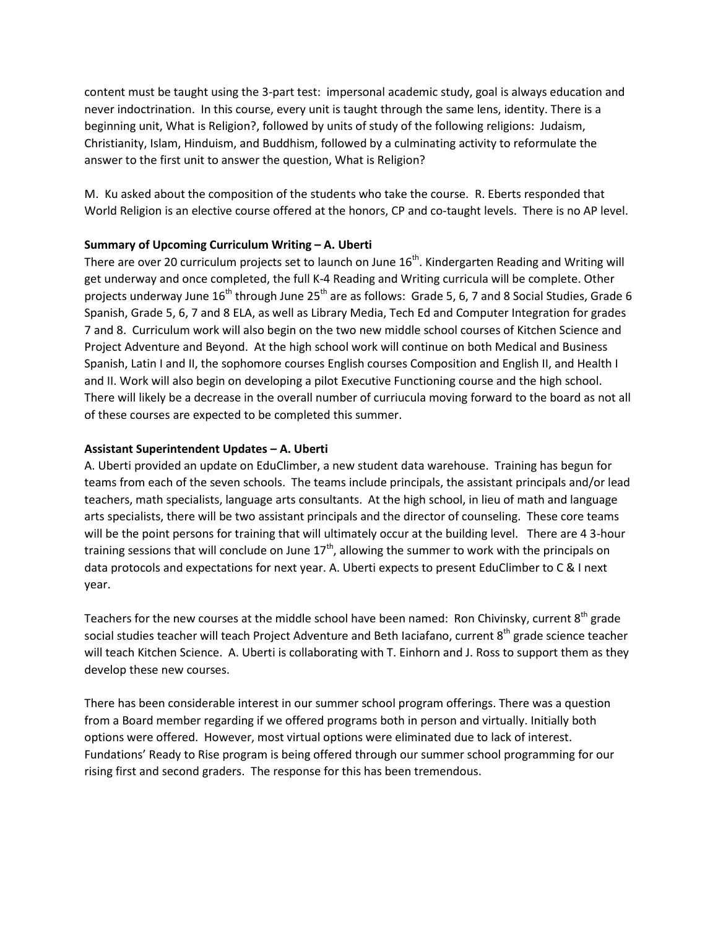content must be taught using the 3-part test: impersonal academic study, goal is always education and never indoctrination. In this course, every unit is taught through the same lens, identity. There is a beginning unit, What is Religion?, followed by units of study of the following religions: Judaism, Christianity, Islam, Hinduism, and Buddhism, followed by a culminating activity to reformulate the answer to the first unit to answer the question, What is Religion?

M. Ku asked about the composition of the students who take the course. R. Eberts responded that World Religion is an elective course offered at the honors, CP and co-taught levels. There is no AP level.

## **Summary of Upcoming Curriculum Writing – A. Uberti**

There are over 20 curriculum projects set to launch on June  $16<sup>th</sup>$ . Kindergarten Reading and Writing will get underway and once completed, the full K-4 Reading and Writing curricula will be complete. Other projects underway June  $16^{th}$  through June  $25^{th}$  are as follows: Grade 5, 6, 7 and 8 Social Studies, Grade 6 Spanish, Grade 5, 6, 7 and 8 ELA, as well as Library Media, Tech Ed and Computer Integration for grades 7 and 8. Curriculum work will also begin on the two new middle school courses of Kitchen Science and Project Adventure and Beyond. At the high school work will continue on both Medical and Business Spanish, Latin I and II, the sophomore courses English courses Composition and English II, and Health I and II. Work will also begin on developing a pilot Executive Functioning course and the high school. There will likely be a decrease in the overall number of curriucula moving forward to the board as not all of these courses are expected to be completed this summer.

## **Assistant Superintendent Updates – A. Uberti**

A. Uberti provided an update on EduClimber, a new student data warehouse. Training has begun for teams from each of the seven schools. The teams include principals, the assistant principals and/or lead teachers, math specialists, language arts consultants. At the high school, in lieu of math and language arts specialists, there will be two assistant principals and the director of counseling. These core teams will be the point persons for training that will ultimately occur at the building level. There are 4 3-hour training sessions that will conclude on June  $17<sup>th</sup>$ , allowing the summer to work with the principals on data protocols and expectations for next year. A. Uberti expects to present EduClimber to C & I next year.

Teachers for the new courses at the middle school have been named: Ron Chivinsky, current 8<sup>th</sup> grade social studies teacher will teach Project Adventure and Beth Iaciafano, current 8<sup>th</sup> grade science teacher will teach Kitchen Science. A. Uberti is collaborating with T. Einhorn and J. Ross to support them as they develop these new courses.

There has been considerable interest in our summer school program offerings. There was a question from a Board member regarding if we offered programs both in person and virtually. Initially both options were offered. However, most virtual options were eliminated due to lack of interest. Fundations' Ready to Rise program is being offered through our summer school programming for our rising first and second graders. The response for this has been tremendous.